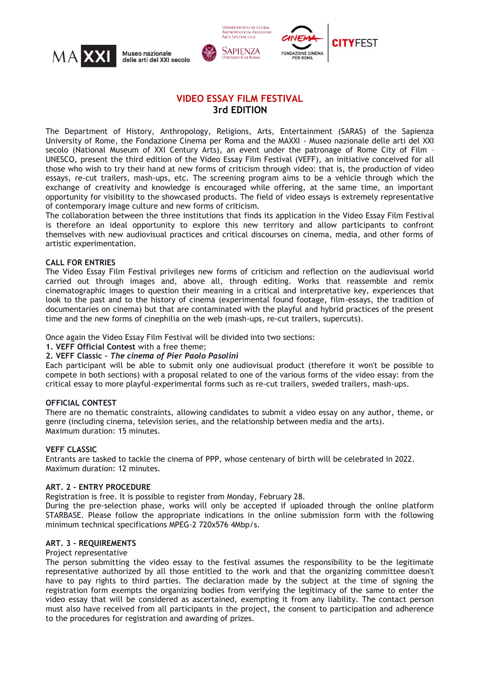





# **VIDEO ESSAY FILM FESTIVAL 3rd EDITION**

**DIPARTIMENTO DI STORIA ANTROPOLOGIA RELIGIONI** 

The Department of History, Anthropology, Religions, Arts, Entertainment (SARAS) of the Sapienza University of Rome, the Fondazione Cinema per Roma and the MAXXI - Museo nazionale delle arti del XXI secolo (National Museum of XXI Century Arts), an event under the patronage of Rome City of Film – UNESCO, present the third edition of the Video Essay Film Festival (VEFF), an initiative conceived for all those who wish to try their hand at new forms of criticism through video: that is, the production of video essays, re-cut trailers, mash-ups, etc. The screening program aims to be a vehicle through which the exchange of creativity and knowledge is encouraged while offering, at the same time, an important opportunity for visibility to the showcased products. The field of video essays is extremely representative of contemporary image culture and new forms of criticism.

The collaboration between the three institutions that finds its application in the Video Essay Film Festival is therefore an ideal opportunity to explore this new territory and allow participants to confront themselves with new audiovisual practices and critical discourses on cinema, media, and other forms of artistic experimentation.

#### **CALL FOR ENTRIES**

The Video Essay Film Festival privileges new forms of criticism and reflection on the audiovisual world carried out through images and, above all, through editing. Works that reassemble and remix cinematographic images to question their meaning in a critical and interpretative key, experiences that look to the past and to the history of cinema (experimental found footage, film-essays, the tradition of documentaries on cinema) but that are contaminated with the playful and hybrid practices of the present time and the new forms of cinephilia on the web (mash-ups, re-cut trailers, supercuts).

Once again the Video Essay Film Festival will be divided into two sections:

#### **1. VEFF Official Contest** with a free theme;

#### **2. VEFF Classic –** *The cinema of Pier Paolo Pasolini*

Each participant will be able to submit only one audiovisual product (therefore it won't be possible to compete in both sections) with a proposal related to one of the various forms of the video essay: from the critical essay to more playful-experimental forms such as re-cut trailers, sweded trailers, mash-ups.

#### **OFFICIAL CONTEST**

There are no thematic constraints, allowing candidates to submit a video essay on any author, theme, or genre (including cinema, television series, and the relationship between media and the arts). Maximum duration: 15 minutes.

#### **VEFF CLASSIC**

Entrants are tasked to tackle the cinema of PPP, whose centenary of birth will be celebrated in 2022. Maximum duration: 12 minutes.

#### **ART. 2 - ENTRY PROCEDURE**

Registration is free. It is possible to register from Monday, February 28.

During the pre-selection phase, works will only be accepted if uploaded through the online platform STARBASE. Please follow the appropriate indications in the online submission form with the following minimum technical specifications MPEG-2 720x576 4Mbp/s.

#### **ART. 3 - REQUIREMENTS**

#### Project representative

The person submitting the video essay to the festival assumes the responsibility to be the legitimate representative authorized by all those entitled to the work and that the organizing committee doesn't have to pay rights to third parties. The declaration made by the subject at the time of signing the registration form exempts the organizing bodies from verifying the legitimacy of the same to enter the video essay that will be considered as ascertained, exempting it from any liability. The contact person must also have received from all participants in the project, the consent to participation and adherence to the procedures for registration and awarding of prizes.